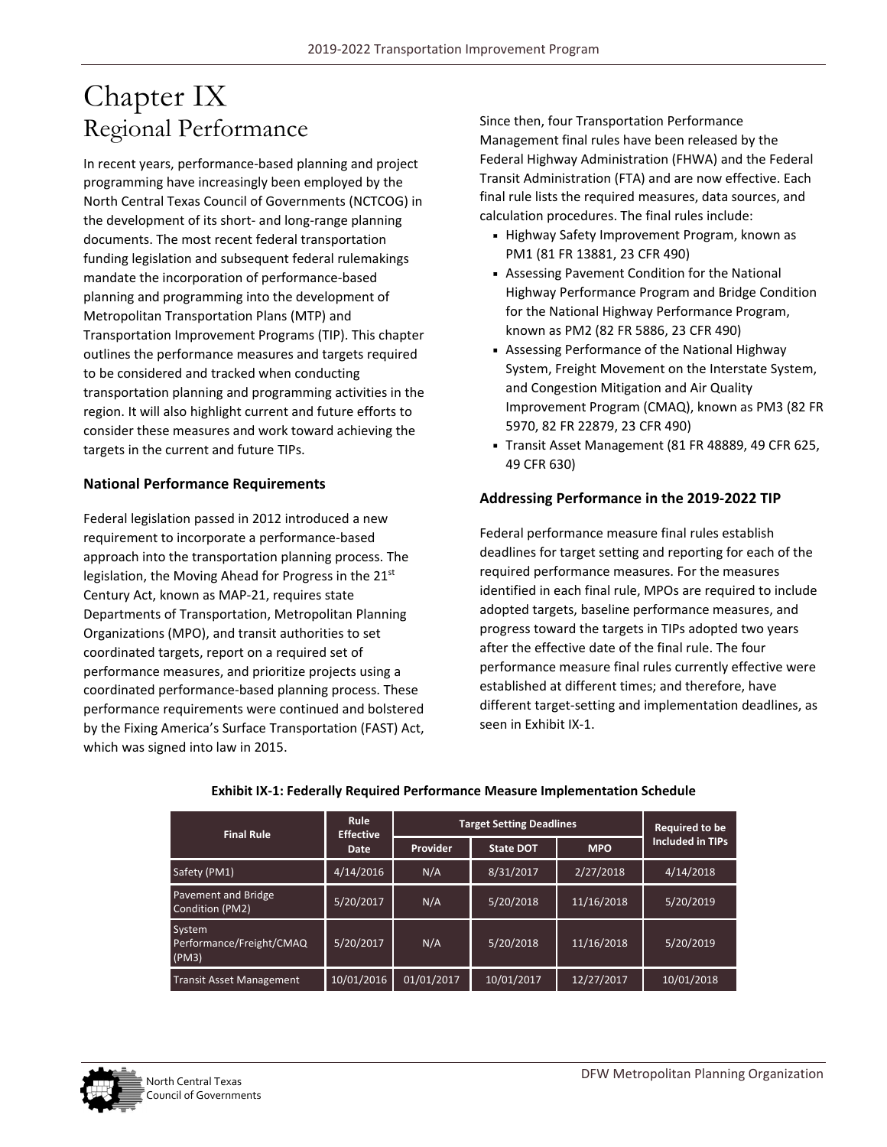# Chapter IX Regional Performance

In recent years, performance‐based planning and project programming have increasingly been employed by the North Central Texas Council of Governments (NCTCOG) in the development of its short‐ and long‐range planning documents. The most recent federal transportation funding legislation and subsequent federal rulemakings mandate the incorporation of performance‐based planning and programming into the development of Metropolitan Transportation Plans (MTP) and Transportation Improvement Programs (TIP). This chapter outlines the performance measures and targets required to be considered and tracked when conducting transportation planning and programming activities in the region. It will also highlight current and future efforts to consider these measures and work toward achieving the targets in the current and future TIPs.

#### **National Performance Requirements**

Federal legislation passed in 2012 introduced a new requirement to incorporate a performance‐based approach into the transportation planning process. The legislation, the Moving Ahead for Progress in the 21<sup>st</sup> Century Act, known as MAP‐21, requires state Departments of Transportation, Metropolitan Planning Organizations (MPO), and transit authorities to set coordinated targets, report on a required set of performance measures, and prioritize projects using a coordinated performance‐based planning process. These performance requirements were continued and bolstered by the Fixing America's Surface Transportation (FAST) Act, which was signed into law in 2015.

Since then, four Transportation Performance Management final rules have been released by the Federal Highway Administration (FHWA) and the Federal Transit Administration (FTA) and are now effective. Each final rule lists the required measures, data sources, and calculation procedures. The final rules include:

- Highway Safety Improvement Program, known as PM1 (81 FR 13881, 23 CFR 490)
- Assessing Pavement Condition for the National Highway Performance Program and Bridge Condition for the National Highway Performance Program, known as PM2 (82 FR 5886, 23 CFR 490)
- Assessing Performance of the National Highway System, Freight Movement on the Interstate System, and Congestion Mitigation and Air Quality Improvement Program (CMAQ), known as PM3 (82 FR 5970, 82 FR 22879, 23 CFR 490)
- Transit Asset Management (81 FR 48889, 49 CFR 625, 49 CFR 630)

#### **Addressing Performance in the 2019‐2022 TIP**

Federal performance measure final rules establish deadlines for target setting and reporting for each of the required performance measures. For the measures identified in each final rule, MPOs are required to include adopted targets, baseline performance measures, and progress toward the targets in TIPs adopted two years after the effective date of the final rule. The four performance measure final rules currently effective were established at different times; and therefore, have different target‐setting and implementation deadlines, as seen in Exhibit IX‐1.

| <b>Final Rule</b>                           | Rule<br><b>Effective</b> | <b>Target Setting Deadlines</b> |                  |            | <b>Required to be</b>   |  |
|---------------------------------------------|--------------------------|---------------------------------|------------------|------------|-------------------------|--|
|                                             | <b>Provider</b><br>Date  |                                 | <b>State DOT</b> | <b>MPO</b> | <b>Included in TIPs</b> |  |
| Safety (PM1)                                | 4/14/2016                | N/A                             | 8/31/2017        | 2/27/2018  | 4/14/2018               |  |
| Pavement and Bridge<br>Condition (PM2)      | 5/20/2017                | N/A                             | 5/20/2018        | 11/16/2018 | 5/20/2019               |  |
| System<br>Performance/Freight/CMAQ<br>(PM3) | 5/20/2017                | N/A                             | 5/20/2018        | 11/16/2018 | 5/20/2019               |  |
| <b>Transit Asset Management</b>             | 10/01/2016               | 01/01/2017                      | 10/01/2017       | 12/27/2017 | 10/01/2018              |  |

#### **Exhibit IX‐1: Federally Required Performance Measure Implementation Schedule**

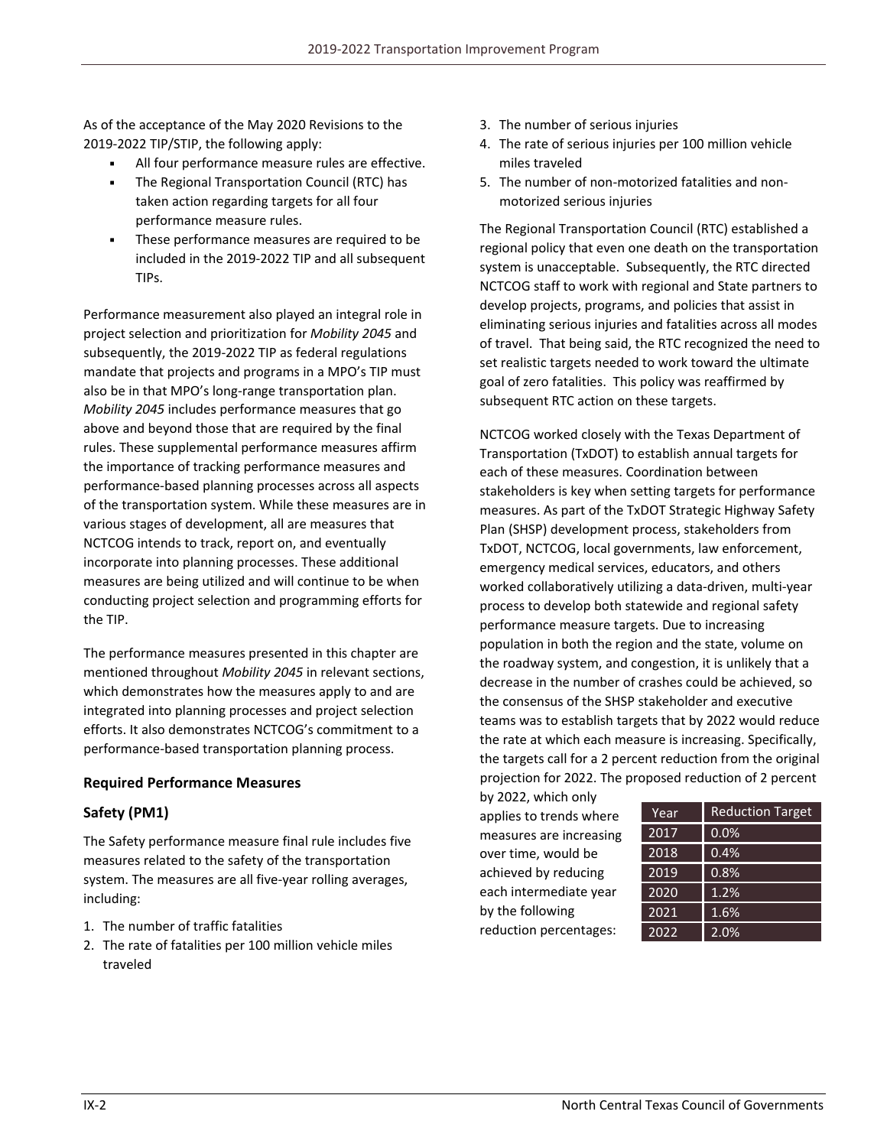As of the acceptance of the May 2020 Revisions to the 2019‐2022 TIP/STIP, the following apply:

- All four performance measure rules are effective.
- The Regional Transportation Council (RTC) has taken action regarding targets for all four performance measure rules.
- **These performance measures are required to be** included in the 2019‐2022 TIP and all subsequent TIPs.

Performance measurement also played an integral role in project selection and prioritization for *Mobility 2045* and subsequently, the 2019‐2022 TIP as federal regulations mandate that projects and programs in a MPO's TIP must also be in that MPO's long‐range transportation plan. *Mobility 2045* includes performance measures that go above and beyond those that are required by the final rules. These supplemental performance measures affirm the importance of tracking performance measures and performance‐based planning processes across all aspects of the transportation system. While these measures are in various stages of development, all are measures that NCTCOG intends to track, report on, and eventually incorporate into planning processes. These additional measures are being utilized and will continue to be when conducting project selection and programming efforts for the TIP.

The performance measures presented in this chapter are mentioned throughout *Mobility 2045* in relevant sections, which demonstrates how the measures apply to and are integrated into planning processes and project selection efforts. It also demonstrates NCTCOG's commitment to a performance‐based transportation planning process.

## **Required Performance Measures**

## **Safety (PM1)**

The Safety performance measure final rule includes five measures related to the safety of the transportation system. The measures are all five‐year rolling averages, including:

- 1. The number of traffic fatalities
- 2. The rate of fatalities per 100 million vehicle miles traveled
- 3. The number of serious injuries
- 4. The rate of serious injuries per 100 million vehicle miles traveled
- 5. The number of non‐motorized fatalities and non‐ motorized serious injuries

The Regional Transportation Council (RTC) established a regional policy that even one death on the transportation system is unacceptable. Subsequently, the RTC directed NCTCOG staff to work with regional and State partners to develop projects, programs, and policies that assist in eliminating serious injuries and fatalities across all modes of travel. That being said, the RTC recognized the need to set realistic targets needed to work toward the ultimate goal of zero fatalities. This policy was reaffirmed by subsequent RTC action on these targets.

NCTCOG worked closely with the Texas Department of Transportation (TxDOT) to establish annual targets for each of these measures. Coordination between stakeholders is key when setting targets for performance measures. As part of the TxDOT Strategic Highway Safety Plan (SHSP) development process, stakeholders from TxDOT, NCTCOG, local governments, law enforcement, emergency medical services, educators, and others worked collaboratively utilizing a data‐driven, multi‐year process to develop both statewide and regional safety performance measure targets. Due to increasing population in both the region and the state, volume on the roadway system, and congestion, it is unlikely that a decrease in the number of crashes could be achieved, so the consensus of the SHSP stakeholder and executive teams was to establish targets that by 2022 would reduce the rate at which each measure is increasing. Specifically, the targets call for a 2 percent reduction from the original projection for 2022. The proposed reduction of 2 percent

by 2022, which only applies to trends where measures are increasing over time, would be achieved by reducing each intermediate year by the following reduction percentages:

| Year              | <b>Reduction Target</b> |
|-------------------|-------------------------|
| 2017              | 0.0%                    |
| 2018              | 0.4%                    |
| 2019              | 0.8%                    |
| 2020              | 1.2%                    |
| $20\overline{21}$ | 1.6%                    |
| 2022              | 2.0%                    |
|                   |                         |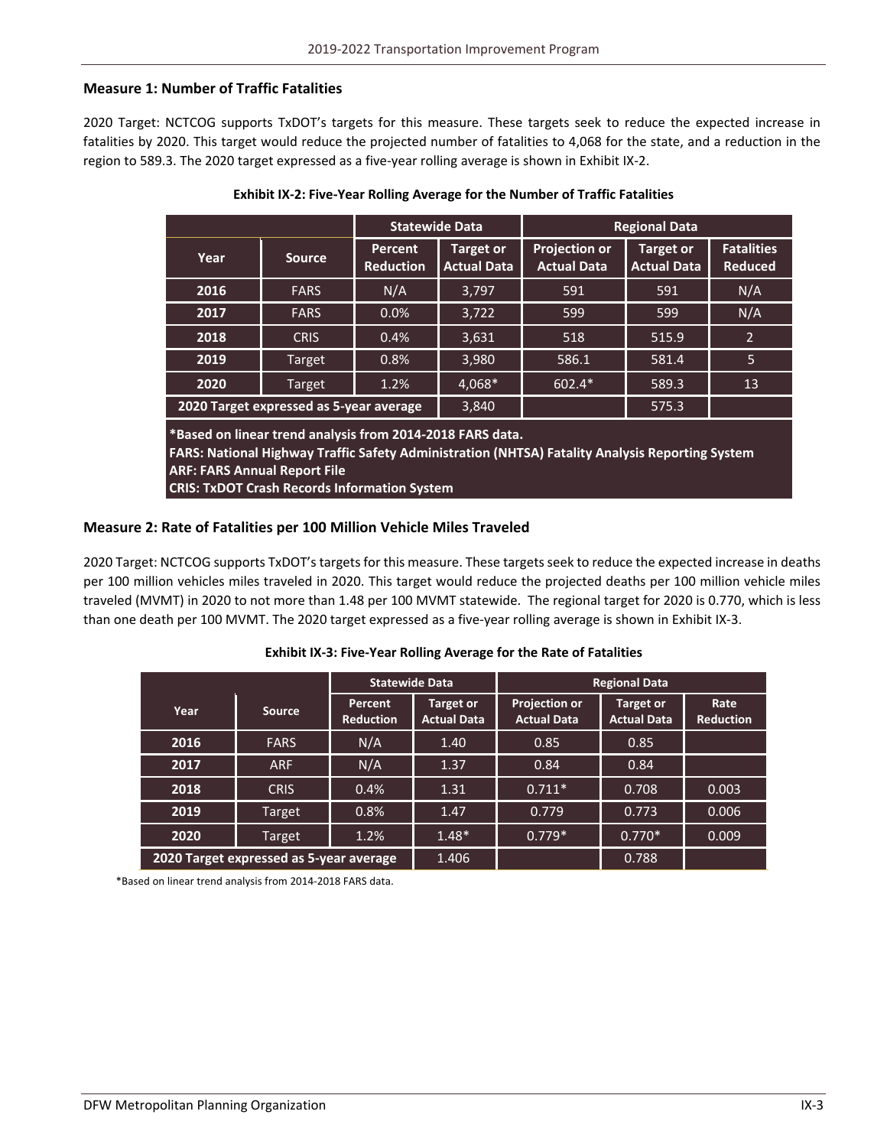### **Measure 1: Number of Traffic Fatalities**

2020 Target: NCTCOG supports TxDOT's targets for this measure. These targets seek to reduce the expected increase in fatalities by 2020. This target would reduce the projected number of fatalities to 4,068 for the state, and a reduction in the region to 589.3. The 2020 target expressed as a five‐year rolling average is shown in Exhibit IX‐2.

|      |                                         | <b>Statewide Data</b>       |                                        | <b>Regional Data</b>                       |                                 |                                     |
|------|-----------------------------------------|-----------------------------|----------------------------------------|--------------------------------------------|---------------------------------|-------------------------------------|
| Year | <b>Source</b>                           | Percent<br><b>Reduction</b> | <b>Target or</b><br><b>Actual Data</b> | <b>Projection or</b><br><b>Actual Data</b> | Target or<br><b>Actual Data</b> | <b>Fatalities</b><br><b>Reduced</b> |
| 2016 | <b>FARS</b>                             | N/A                         | 3,797                                  | 591                                        | 591                             | N/A                                 |
| 2017 | <b>FARS</b>                             | 0.0%                        | 3,722                                  | 599                                        | 599                             | N/A                                 |
| 2018 | <b>CRIS</b>                             | 0.4%                        | 3,631                                  | 518                                        | 515.9                           | $\overline{2}$                      |
| 2019 | Target                                  | 0.8%                        | 3,980                                  | 586.1                                      | 581.4                           | 5                                   |
| 2020 | Target                                  | 1.2%                        | 4,068*                                 | $602.4*$                                   | 589.3                           | 13                                  |
|      | 2020 Target expressed as 5-year average |                             | 3,840                                  |                                            | 575.3                           |                                     |

#### **Exhibit IX‐2: Five‐Year Rolling Average for the Number of Traffic Fatalities**

**\*Based on linear trend analysis from 2014‐2018 FARS data.**

**FARS: National Highway Traffic Safety Administration (NHTSA) Fatality Analysis Reporting System ARF: FARS Annual Report File**

**CRIS: TxDOT Crash Records Information System**

#### **Measure 2: Rate of Fatalities per 100 Million Vehicle Miles Traveled**

2020 Target: NCTCOG supports TxDOT'stargetsfor this measure. These targetsseek to reduce the expected increase in deaths per 100 million vehicles miles traveled in 2020. This target would reduce the projected deaths per 100 million vehicle miles traveled (MVMT) in 2020 to not more than 1.48 per 100 MVMT statewide. The regional target for 2020 is 0.770, which is less than one death per 100 MVMT. The 2020 target expressed as a five‐year rolling average is shown in Exhibit IX‐3.

|                                         |               | <b>Statewide Data</b>       | <b>Regional Data</b>            |                                            |                                 |                          |
|-----------------------------------------|---------------|-----------------------------|---------------------------------|--------------------------------------------|---------------------------------|--------------------------|
| Year                                    | <b>Source</b> | Percent<br><b>Reduction</b> | Target or<br><b>Actual Data</b> | <b>Projection or</b><br><b>Actual Data</b> | Target or<br><b>Actual Data</b> | Rate<br><b>Reduction</b> |
| 2016                                    | <b>FARS</b>   | N/A                         | 1.40                            | 0.85                                       | 0.85                            |                          |
| 2017                                    | <b>ARF</b>    | N/A                         | 1.37                            | 0.84                                       | 0.84                            |                          |
| 2018                                    | <b>CRIS</b>   | 0.4%                        | 1.31                            | $0.711*$                                   | 0.708                           | 0.003                    |
| 2019                                    | Target        | 0.8%                        | 1.47                            | 0.779                                      | 0.773                           | 0.006                    |
| 2020                                    | Target        | 1.2%                        | $1.48*$                         | $0.779*$                                   | $0.770*$                        | 0.009                    |
| 2020 Target expressed as 5-year average |               | 1.406                       |                                 | 0.788                                      |                                 |                          |

#### **Exhibit IX‐3: Five‐Year Rolling Average for the Rate of Fatalities**

\*Based on linear trend analysis from 2014‐2018 FARS data.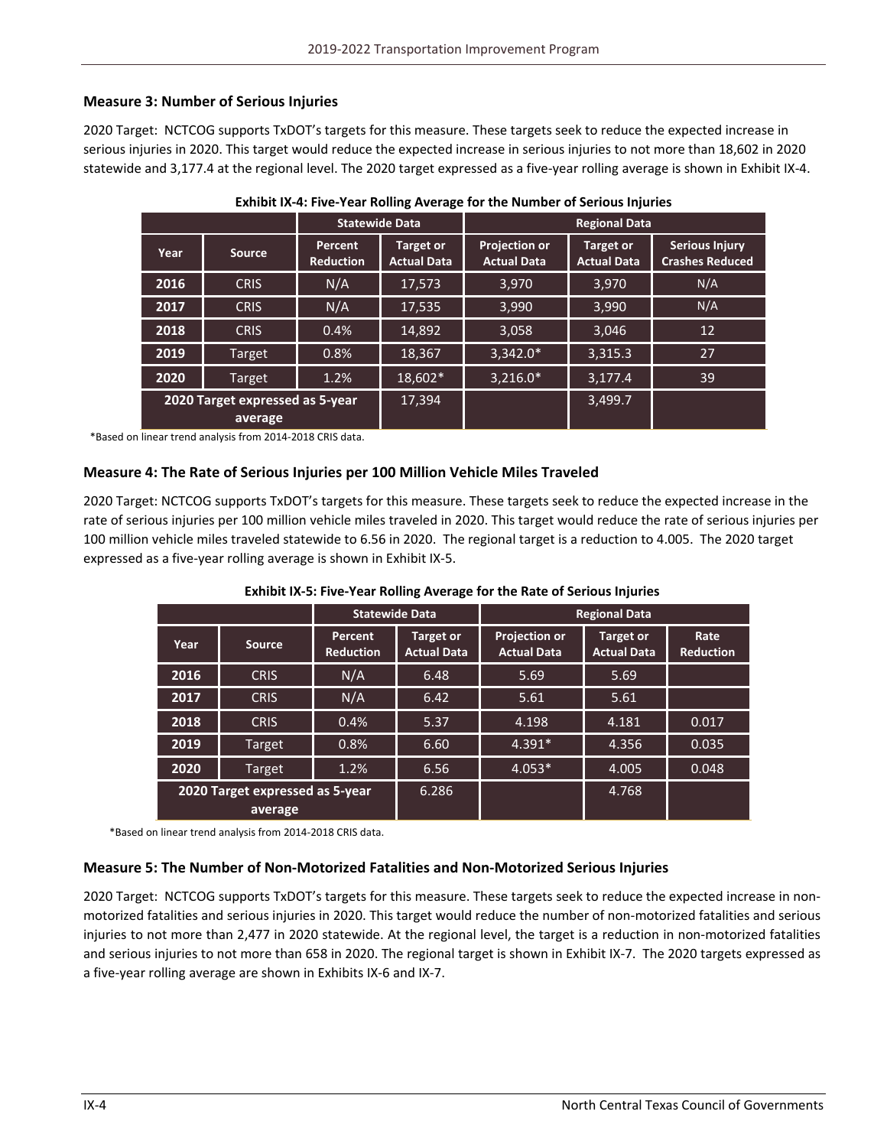## **Measure 3: Number of Serious Injuries**

2020 Target: NCTCOG supports TxDOT's targets for this measure. These targets seek to reduce the expected increase in serious injuries in 2020. This target would reduce the expected increase in serious injuries to not more than 18,602 in 2020 statewide and 3,177.4 at the regional level. The 2020 target expressed as a five-year rolling average is shown in Exhibit IX-4.

|      |                                            | <b>Statewide Data</b>              |                                 | <b>Regional Data</b>                       |                                        |                                                 |
|------|--------------------------------------------|------------------------------------|---------------------------------|--------------------------------------------|----------------------------------------|-------------------------------------------------|
| Year | <b>Source</b>                              | <b>Percent</b><br><b>Reduction</b> | Target or<br><b>Actual Data</b> | <b>Projection or</b><br><b>Actual Data</b> | <b>Target or</b><br><b>Actual Data</b> | <b>Serious Injury</b><br><b>Crashes Reduced</b> |
| 2016 | <b>CRIS</b>                                | N/A                                | 17,573                          | 3,970                                      | 3,970                                  | N/A                                             |
| 2017 | <b>CRIS</b>                                | N/A                                | 17,535                          | 3,990                                      | 3,990                                  | N/A                                             |
| 2018 | <b>CRIS</b>                                | 0.4%                               | 14,892                          | 3,058                                      | 3,046                                  | 12                                              |
| 2019 | Target                                     | 0.8%                               | 18,367                          | $3,342.0*$                                 | 3,315.3                                | 27                                              |
| 2020 | Target                                     | 1.2%                               | 18,602*                         | $3,216.0*$                                 | 3,177.4                                | 39                                              |
|      | 2020 Target expressed as 5-year<br>average |                                    | 17,394                          |                                            | 3,499.7                                |                                                 |

| Exhibit IX-4: Five-Year Rolling Average for the Number of Serious Injuries |  |
|----------------------------------------------------------------------------|--|
|----------------------------------------------------------------------------|--|

\*Based on linear trend analysis from 2014‐2018 CRIS data.

#### **Measure 4: The Rate of Serious Injuries per 100 Million Vehicle Miles Traveled**

2020 Target: NCTCOG supports TxDOT's targets for this measure. These targets seek to reduce the expected increase in the rate of serious injuries per 100 million vehicle miles traveled in 2020. This target would reduce the rate of serious injuries per 100 million vehicle miles traveled statewide to 6.56 in 2020. The regional target is a reduction to 4.005. The 2020 target expressed as a five‐year rolling average is shown in Exhibit IX‐5.

| <b>Statewide Data</b>                      |               |                                    |                                 | <b>Regional Data</b>                       |                                        |                          |
|--------------------------------------------|---------------|------------------------------------|---------------------------------|--------------------------------------------|----------------------------------------|--------------------------|
| Year                                       | <b>Source</b> | <b>Percent</b><br><b>Reduction</b> | Target or<br><b>Actual Data</b> | <b>Projection or</b><br><b>Actual Data</b> | <b>Target or</b><br><b>Actual Data</b> | Rate<br><b>Reduction</b> |
| 2016                                       | <b>CRIS</b>   | N/A                                | 6.48                            | 5.69                                       | 5.69                                   |                          |
| 2017                                       | <b>CRIS</b>   | N/A                                | 6.42                            | 5.61                                       | 5.61                                   |                          |
| 2018                                       | <b>CRIS</b>   | 0.4%                               | 5.37                            | 4.198                                      | 4.181                                  | 0.017                    |
| 2019                                       | Target        | 0.8%                               | 6.60                            | $4.391*$                                   | 4.356                                  | 0.035                    |
| 2020                                       | Target        | 1.2%                               | 6.56                            | $4.053*$                                   | 4.005                                  | 0.048                    |
| 2020 Target expressed as 5-year<br>average |               | 6.286                              |                                 | 4.768                                      |                                        |                          |

#### **Exhibit IX‐5: Five‐Year Rolling Average for the Rate of Serious Injuries**

\*Based on linear trend analysis from 2014‐2018 CRIS data.

#### **Measure 5: The Number of Non‐Motorized Fatalities and Non‐Motorized Serious Injuries**

2020 Target: NCTCOG supports TxDOT's targets for this measure. These targets seek to reduce the expected increase in non‐ motorized fatalities and serious injuries in 2020. This target would reduce the number of non‐motorized fatalities and serious injuries to not more than 2,477 in 2020 statewide. At the regional level, the target is a reduction in non-motorized fatalities and serious injuries to not more than 658 in 2020. The regional target is shown in Exhibit IX-7. The 2020 targets expressed as a five‐year rolling average are shown in Exhibits IX‐6 and IX‐7.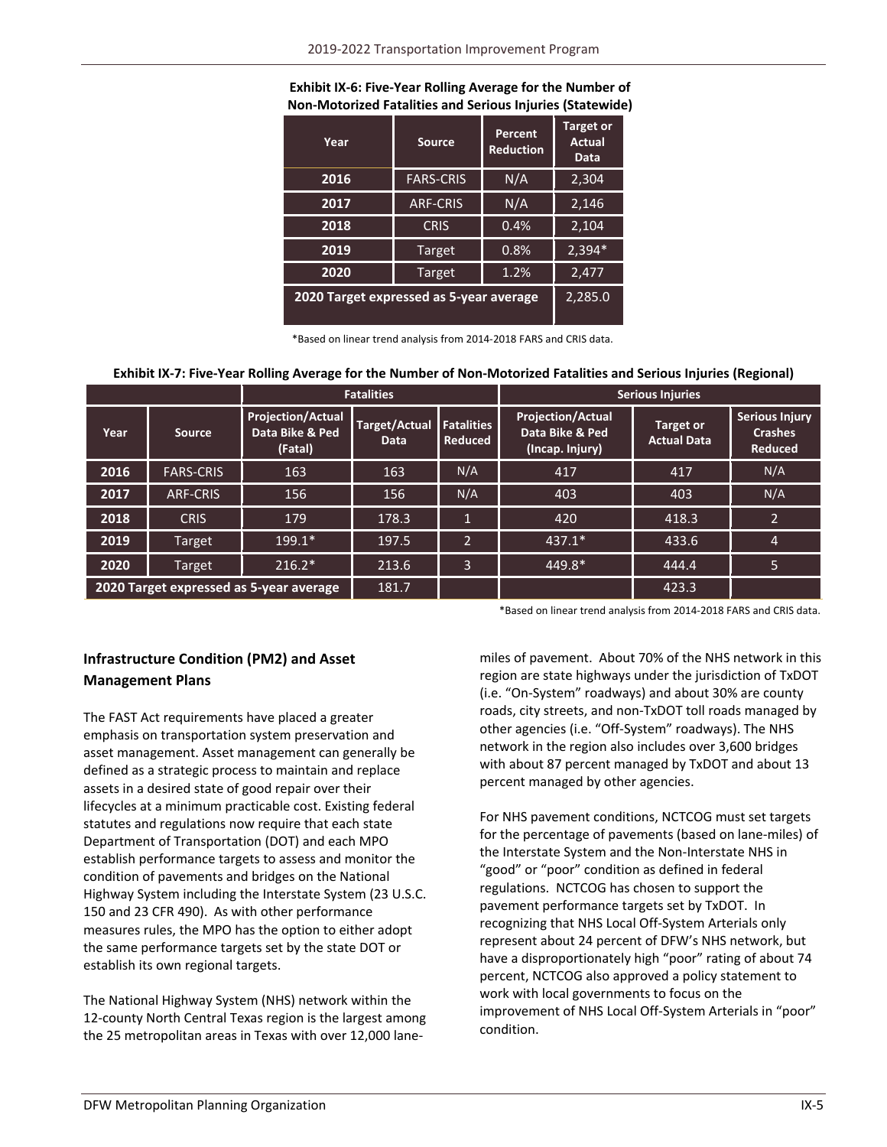#### **Exhibit IX‐6: Five‐Year Rolling Average for the Number of Non‐Motorized Fatalities and Serious Injuries (Statewide)**

| Year                                    | Source           | Percent<br><b>Reduction</b> | Target or<br><b>Actual</b><br>Data |
|-----------------------------------------|------------------|-----------------------------|------------------------------------|
| 2016                                    | <b>FARS-CRIS</b> | N/A                         | 2,304                              |
| 2017                                    | <b>ARF-CRIS</b>  | N/A                         | 2,146                              |
| 2018                                    | <b>CRIS</b>      | 0.4%                        | 2,104                              |
| 2019                                    | Target           | 0.8%                        | 2,394*                             |
| 2020                                    | Target           | 1.2%                        | 2,477                              |
| 2020 Target expressed as 5-year average | 2,285.0          |                             |                                    |

\*Based on linear trend analysis from 2014‐2018 FARS and CRIS data.

#### Exhibit IX-7: Five-Year Rolling Average for the Number of Non-Motorized Fatalities and Serious Injuries (Regional)

|                                         |                  | <b>Fatalities</b>                                      |                       | <b>Serious Injuries</b>             |                                                                |                                        |                                                           |
|-----------------------------------------|------------------|--------------------------------------------------------|-----------------------|-------------------------------------|----------------------------------------------------------------|----------------------------------------|-----------------------------------------------------------|
| Year                                    | Source           | <b>Projection/Actual</b><br>Data Bike & Ped<br>(Fatal) | Target/Actual<br>Data | <b>Fatalities</b><br><b>Reduced</b> | <b>Projection/Actual</b><br>Data Bike & Ped<br>(Incap. Injury) | <b>Target or</b><br><b>Actual Data</b> | <b>Serious Injury</b><br><b>Crashes</b><br><b>Reduced</b> |
| 2016                                    | <b>FARS-CRIS</b> | 163                                                    | 163                   | N/A                                 | 417                                                            | 417                                    | N/A                                                       |
| 2017                                    | <b>ARF-CRIS</b>  | 156                                                    | 156                   | N/A                                 | 403                                                            | 403                                    | N/A                                                       |
| 2018                                    | <b>CRIS</b>      | 179                                                    | 178.3                 |                                     | 420                                                            | 418.3                                  | $\overline{2}$                                            |
| 2019                                    | Target           | $199.1*$                                               | 197.5                 | $\mathcal{L}$                       | $437.1*$                                                       | 433.6                                  | 4                                                         |
| 2020                                    | Target           | $216.2*$                                               | 213.6                 | 3                                   | 449.8*                                                         | 444.4                                  | 5.                                                        |
| 2020 Target expressed as 5-year average |                  | 181.7                                                  |                       |                                     | 423.3                                                          |                                        |                                                           |

\*Based on linear trend analysis from 2014‐2018 FARS and CRIS data.

# **Infrastructure Condition (PM2) and Asset Management Plans**

The FAST Act requirements have placed a greater emphasis on transportation system preservation and asset management. Asset management can generally be defined as a strategic process to maintain and replace assets in a desired state of good repair over their lifecycles at a minimum practicable cost. Existing federal statutes and regulations now require that each state Department of Transportation (DOT) and each MPO establish performance targets to assess and monitor the condition of pavements and bridges on the National Highway System including the Interstate System (23 U.S.C. 150 and 23 CFR 490). As with other performance measures rules, the MPO has the option to either adopt the same performance targets set by the state DOT or establish its own regional targets.

The National Highway System (NHS) network within the 12-county North Central Texas region is the largest among the 25 metropolitan areas in Texas with over 12,000 lane‐

miles of pavement. About 70% of the NHS network in this region are state highways under the jurisdiction of TxDOT (i.e. "On‐System" roadways) and about 30% are county roads, city streets, and non‐TxDOT toll roads managed by other agencies (i.e. "Off‐System" roadways). The NHS network in the region also includes over 3,600 bridges with about 87 percent managed by TxDOT and about 13 percent managed by other agencies.

For NHS pavement conditions, NCTCOG must set targets for the percentage of pavements (based on lane‐miles) of the Interstate System and the Non‐Interstate NHS in "good" or "poor" condition as defined in federal regulations. NCTCOG has chosen to support the pavement performance targets set by TxDOT. In recognizing that NHS Local Off‐System Arterials only represent about 24 percent of DFW's NHS network, but have a disproportionately high "poor" rating of about 74 percent, NCTCOG also approved a policy statement to work with local governments to focus on the improvement of NHS Local Off‐System Arterials in "poor" condition.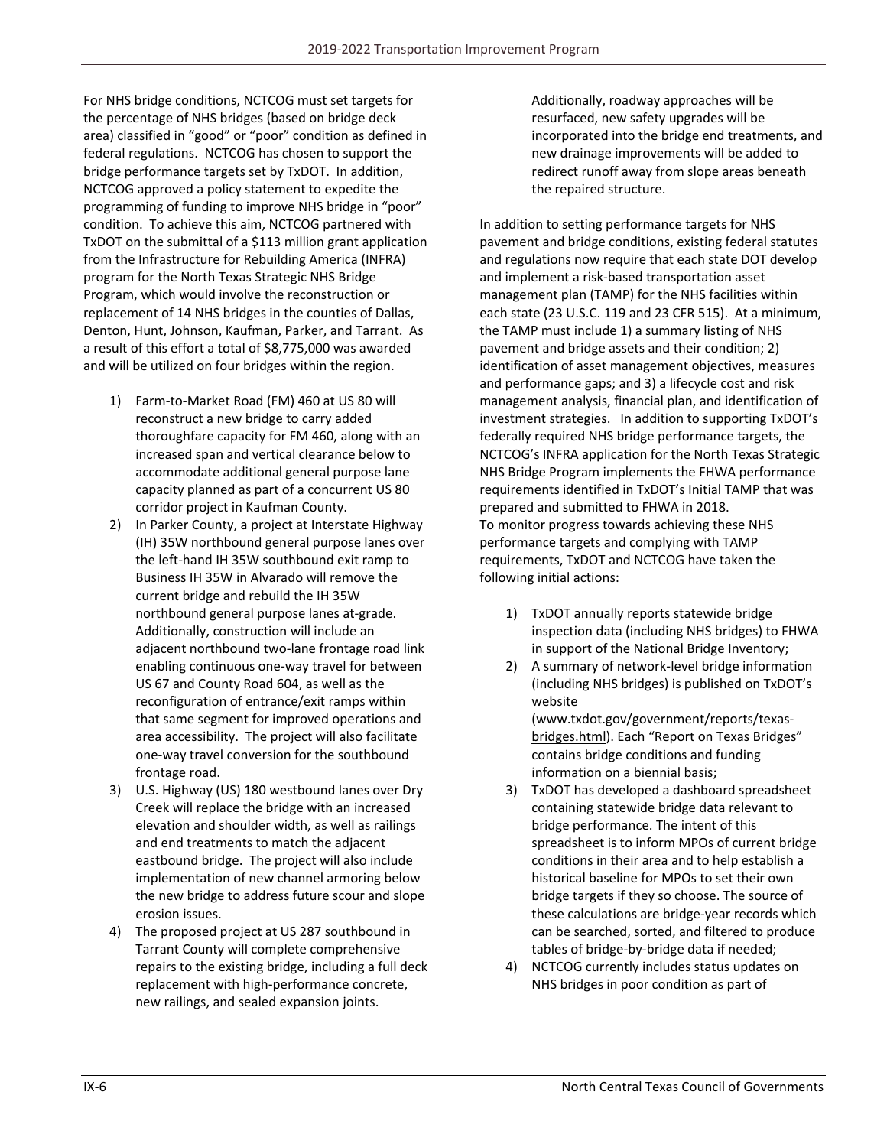For NHS bridge conditions, NCTCOG must set targets for the percentage of NHS bridges (based on bridge deck area) classified in "good" or "poor" condition as defined in federal regulations. NCTCOG has chosen to support the bridge performance targets set by TxDOT. In addition, NCTCOG approved a policy statement to expedite the programming of funding to improve NHS bridge in "poor" condition. To achieve this aim, NCTCOG partnered with TxDOT on the submittal of a \$113 million grant application from the Infrastructure for Rebuilding America (INFRA) program for the North Texas Strategic NHS Bridge Program, which would involve the reconstruction or replacement of 14 NHS bridges in the counties of Dallas, Denton, Hunt, Johnson, Kaufman, Parker, and Tarrant. As a result of this effort a total of \$8,775,000 was awarded and will be utilized on four bridges within the region.

- 1) Farm‐to‐Market Road (FM) 460 at US 80 will reconstruct a new bridge to carry added thoroughfare capacity for FM 460, along with an increased span and vertical clearance below to accommodate additional general purpose lane capacity planned as part of a concurrent US 80 corridor project in Kaufman County.
- 2) In Parker County, a project at Interstate Highway (IH) 35W northbound general purpose lanes over the left‐hand IH 35W southbound exit ramp to Business IH 35W in Alvarado will remove the current bridge and rebuild the IH 35W northbound general purpose lanes at‐grade. Additionally, construction will include an adjacent northbound two‐lane frontage road link enabling continuous one‐way travel for between US 67 and County Road 604, as well as the reconfiguration of entrance/exit ramps within that same segment for improved operations and area accessibility. The project will also facilitate one‐way travel conversion for the southbound frontage road.
- 3) U.S. Highway (US) 180 westbound lanes over Dry Creek will replace the bridge with an increased elevation and shoulder width, as well as railings and end treatments to match the adjacent eastbound bridge. The project will also include implementation of new channel armoring below the new bridge to address future scour and slope erosion issues.
- 4) The proposed project at US 287 southbound in Tarrant County will complete comprehensive repairs to the existing bridge, including a full deck replacement with high‐performance concrete, new railings, and sealed expansion joints.

Additionally, roadway approaches will be resurfaced, new safety upgrades will be incorporated into the bridge end treatments, and new drainage improvements will be added to redirect runoff away from slope areas beneath the repaired structure.

In addition to setting performance targets for NHS pavement and bridge conditions, existing federal statutes and regulations now require that each state DOT develop and implement a risk‐based transportation asset management plan (TAMP) for the NHS facilities within each state (23 U.S.C. 119 and 23 CFR 515). At a minimum, the TAMP must include 1) a summary listing of NHS pavement and bridge assets and their condition; 2) identification of asset management objectives, measures and performance gaps; and 3) a lifecycle cost and risk management analysis, financial plan, and identification of investment strategies. In addition to supporting TxDOT's federally required NHS bridge performance targets, the NCTCOG's INFRA application for the North Texas Strategic NHS Bridge Program implements the FHWA performance requirements identified in TxDOT's Initial TAMP that was prepared and submitted to FHWA in 2018. To monitor progress towards achieving these NHS performance targets and complying with TAMP requirements, TxDOT and NCTCOG have taken the following initial actions:

- 1) TxDOT annually reports statewide bridge inspection data (including NHS bridges) to FHWA in support of the National Bridge Inventory;
- 2) A summary of network-level bridge information (including NHS bridges) is published on TxDOT's website

(www.txdot.gov/government/reports/texas‐ bridges.html). Each "Report on Texas Bridges" contains bridge conditions and funding information on a biennial basis;

- 3) TxDOT has developed a dashboard spreadsheet containing statewide bridge data relevant to bridge performance. The intent of this spreadsheet is to inform MPOs of current bridge conditions in their area and to help establish a historical baseline for MPOs to set their own bridge targets if they so choose. The source of these calculations are bridge‐year records which can be searched, sorted, and filtered to produce tables of bridge‐by‐bridge data if needed;
- 4) NCTCOG currently includes status updates on NHS bridges in poor condition as part of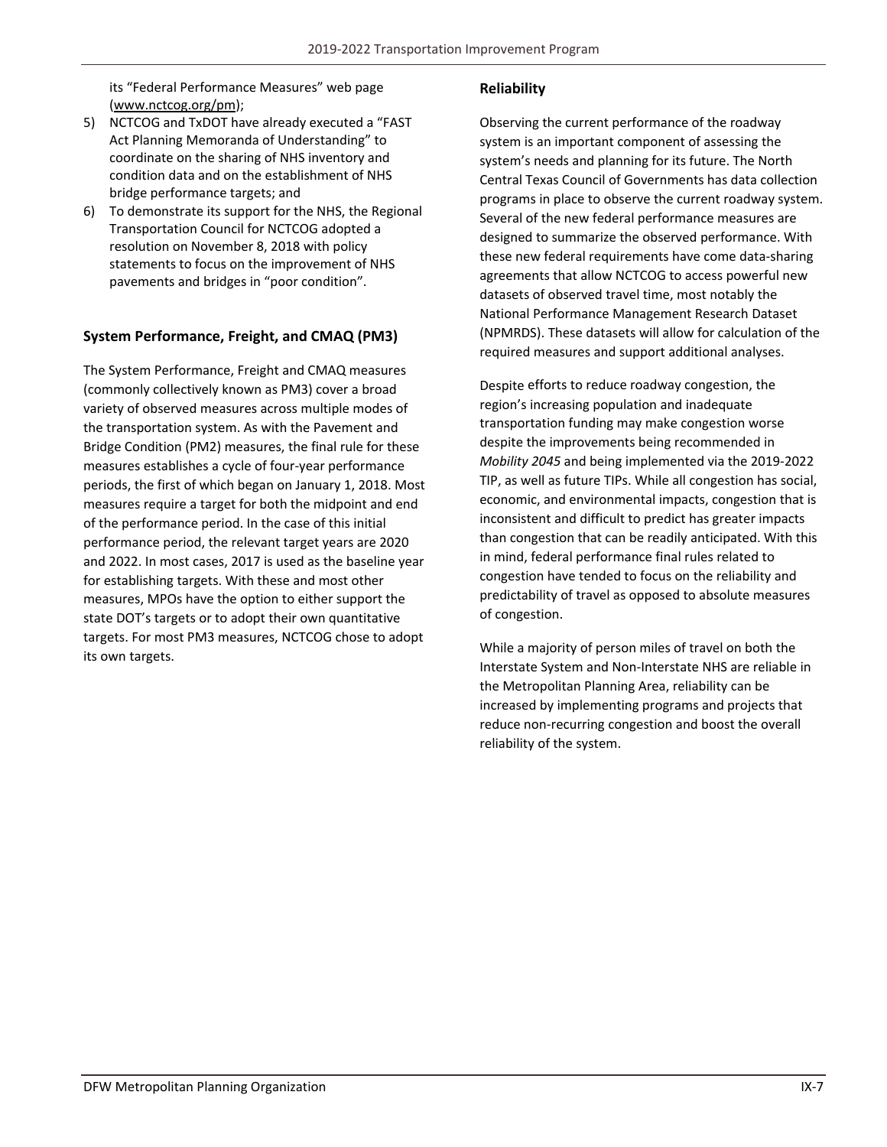its "Federal Performance Measures" web page (www.nctcog.org/pm);

- 5) NCTCOG and TxDOT have already executed a "FAST Act Planning Memoranda of Understanding" to coordinate on the sharing of NHS inventory and condition data and on the establishment of NHS bridge performance targets; and
- 6) To demonstrate its support for the NHS, the Regional Transportation Council for NCTCOG adopted a resolution on November 8, 2018 with policy statements to focus on the improvement of NHS pavements and bridges in "poor condition".

## **System Performance, Freight, and CMAQ (PM3)**

The System Performance, Freight and CMAQ measures (commonly collectively known as PM3) cover a broad variety of observed measures across multiple modes of the transportation system. As with the Pavement and Bridge Condition (PM2) measures, the final rule for these measures establishes a cycle of four‐year performance periods, the first of which began on January 1, 2018. Most measures require a target for both the midpoint and end of the performance period. In the case of this initial performance period, the relevant target years are 2020 and 2022. In most cases, 2017 is used as the baseline year for establishing targets. With these and most other measures, MPOs have the option to either support the state DOT's targets or to adopt their own quantitative targets. For most PM3 measures, NCTCOG chose to adopt its own targets.

## **Reliability**

Observing the current performance of the roadway system is an important component of assessing the system's needs and planning for its future. The North Central Texas Council of Governments has data collection programs in place to observe the current roadway system. Several of the new federal performance measures are designed to summarize the observed performance. With these new federal requirements have come data‐sharing agreements that allow NCTCOG to access powerful new datasets of observed travel time, most notably the National Performance Management Research Dataset (NPMRDS). These datasets will allow for calculation of the required measures and support additional analyses.

Despite efforts to reduce roadway congestion, the region's increasing population and inadequate transportation funding may make congestion worse despite the improvements being recommended in *Mobility 2045* and being implemented via the 2019‐2022 TIP, as well as future TIPs. While all congestion has social, economic, and environmental impacts, congestion that is inconsistent and difficult to predict has greater impacts than congestion that can be readily anticipated. With this in mind, federal performance final rules related to congestion have tended to focus on the reliability and predictability of travel as opposed to absolute measures of congestion.

While a majority of person miles of travel on both the Interstate System and Non‐Interstate NHS are reliable in the Metropolitan Planning Area, reliability can be increased by implementing programs and projects that reduce non‐recurring congestion and boost the overall reliability of the system.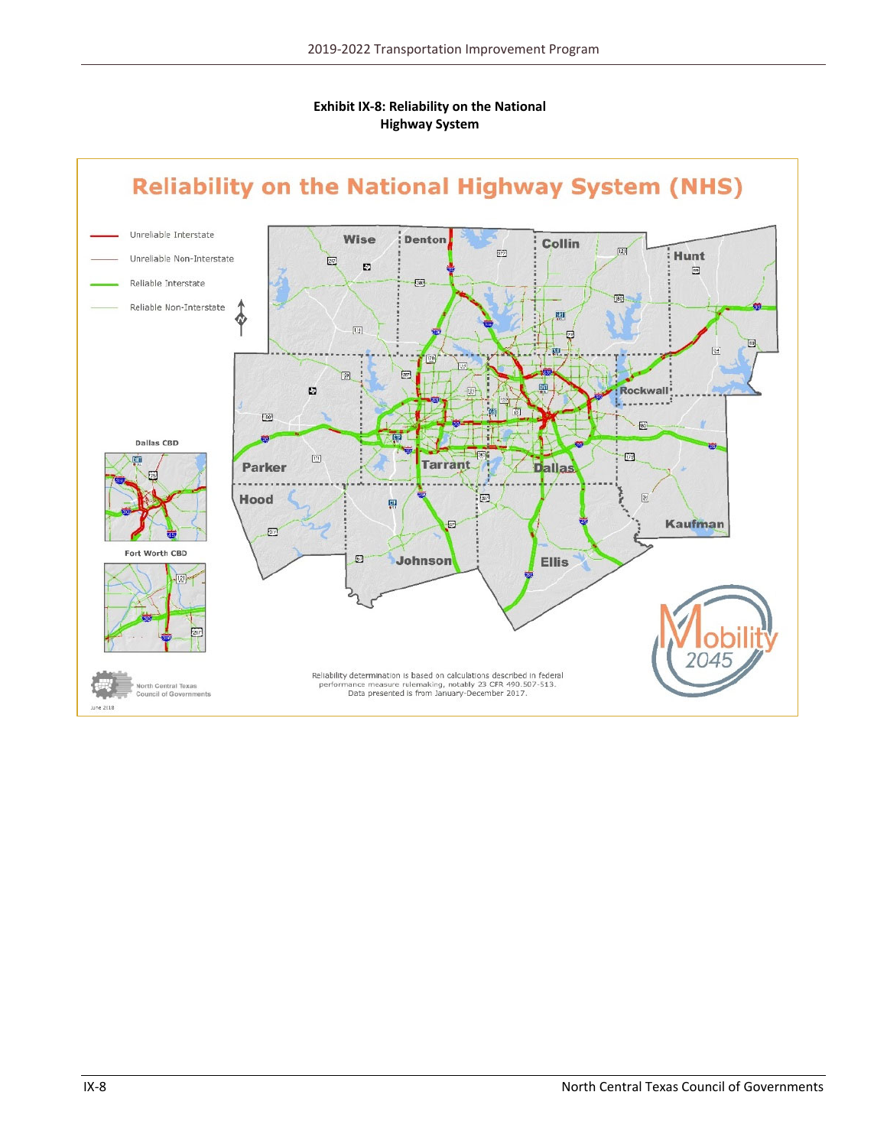

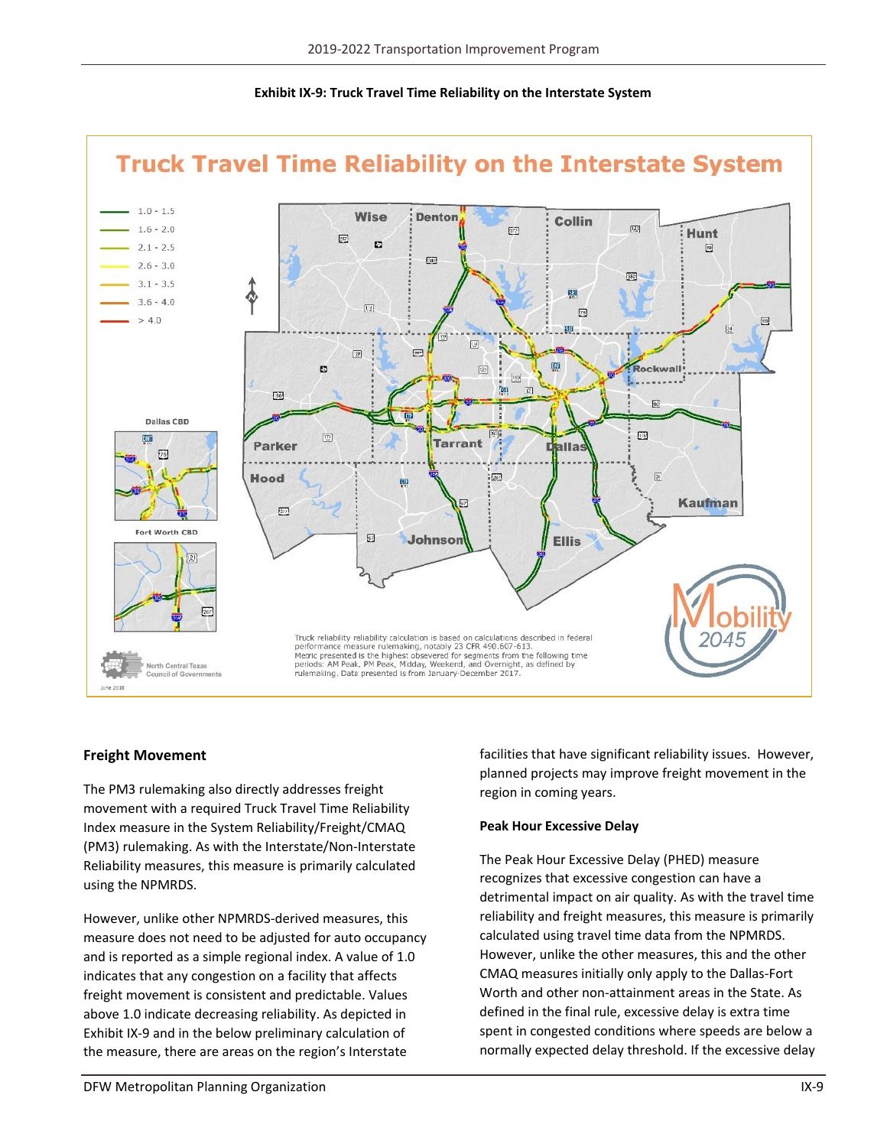

### **Exhibit IX‐9: Truck Travel Time Reliability on the Interstate System**

#### **Freight Movement**

The PM3 rulemaking also directly addresses freight movement with a required Truck Travel Time Reliability Index measure in the System Reliability/Freight/CMAQ (PM3) rulemaking. As with the Interstate/Non‐Interstate Reliability measures, this measure is primarily calculated using the NPMRDS.

However, unlike other NPMRDS‐derived measures, this measure does not need to be adjusted for auto occupancy and is reported as a simple regional index. A value of 1.0 indicates that any congestion on a facility that affects freight movement is consistent and predictable. Values above 1.0 indicate decreasing reliability. As depicted in Exhibit IX‐9 and in the below preliminary calculation of the measure, there are areas on the region's Interstate

facilities that have significant reliability issues. However, planned projects may improve freight movement in the region in coming years.

#### **Peak Hour Excessive Delay**

The Peak Hour Excessive Delay (PHED) measure recognizes that excessive congestion can have a detrimental impact on air quality. As with the travel time reliability and freight measures, this measure is primarily calculated using travel time data from the NPMRDS. However, unlike the other measures, this and the other CMAQ measures initially only apply to the Dallas‐Fort Worth and other non‐attainment areas in the State. As defined in the final rule, excessive delay is extra time spent in congested conditions where speeds are below a normally expected delay threshold. If the excessive delay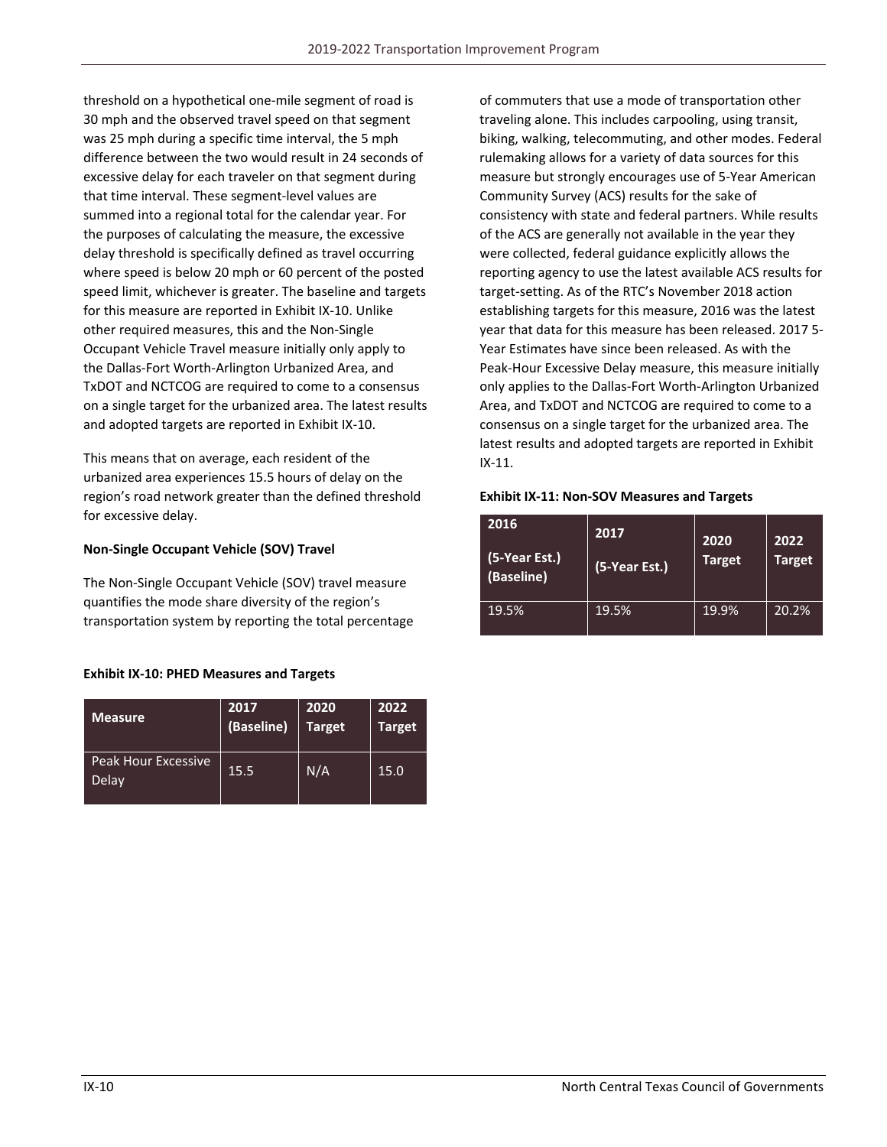threshold on a hypothetical one‐mile segment of road is 30 mph and the observed travel speed on that segment was 25 mph during a specific time interval, the 5 mph difference between the two would result in 24 seconds of excessive delay for each traveler on that segment during that time interval. These segment‐level values are summed into a regional total for the calendar year. For the purposes of calculating the measure, the excessive delay threshold is specifically defined as travel occurring where speed is below 20 mph or 60 percent of the posted speed limit, whichever is greater. The baseline and targets for this measure are reported in Exhibit IX‐10. Unlike other required measures, this and the Non‐Single Occupant Vehicle Travel measure initially only apply to the Dallas‐Fort Worth‐Arlington Urbanized Area, and TxDOT and NCTCOG are required to come to a consensus on a single target for the urbanized area. The latest results and adopted targets are reported in Exhibit IX‐10.

This means that on average, each resident of the urbanized area experiences 15.5 hours of delay on the region's road network greater than the defined threshold for excessive delay.

#### **Non‐Single Occupant Vehicle (SOV) Travel**

The Non‐Single Occupant Vehicle (SOV) travel measure quantifies the mode share diversity of the region's transportation system by reporting the total percentage

#### **Exhibit IX‐10: PHED Measures and Targets**

| <b>Measure</b>                      | 2017       | 2020          | 2022          |
|-------------------------------------|------------|---------------|---------------|
|                                     | (Baseline) | <b>Target</b> | <b>Target</b> |
| <b>Peak Hour Excessive</b><br>Delay | 15.5       | N/A           | 15.0          |

of commuters that use a mode of transportation other traveling alone. This includes carpooling, using transit, biking, walking, telecommuting, and other modes. Federal rulemaking allows for a variety of data sources for this measure but strongly encourages use of 5‐Year American Community Survey (ACS) results for the sake of consistency with state and federal partners. While results of the ACS are generally not available in the year they were collected, federal guidance explicitly allows the reporting agency to use the latest available ACS results for target‐setting. As of the RTC's November 2018 action establishing targets for this measure, 2016 was the latest year that data for this measure has been released. 2017 5‐ Year Estimates have since been released. As with the Peak‐Hour Excessive Delay measure, this measure initially only applies to the Dallas‐Fort Worth‐Arlington Urbanized Area, and TxDOT and NCTCOG are required to come to a consensus on a single target for the urbanized area. The latest results and adopted targets are reported in Exhibit IX‐11.

#### **Exhibit IX‐11: Non‐SOV Measures and Targets**

| 2016<br>(5-Year Est.)<br>(Baseline) | 2017<br>(5-Year Est.) | 2020<br><b>Target</b> | 2022<br><b>Target</b> |
|-------------------------------------|-----------------------|-----------------------|-----------------------|
| 19.5%                               | 19.5%                 | 19.9%                 | 20.2%                 |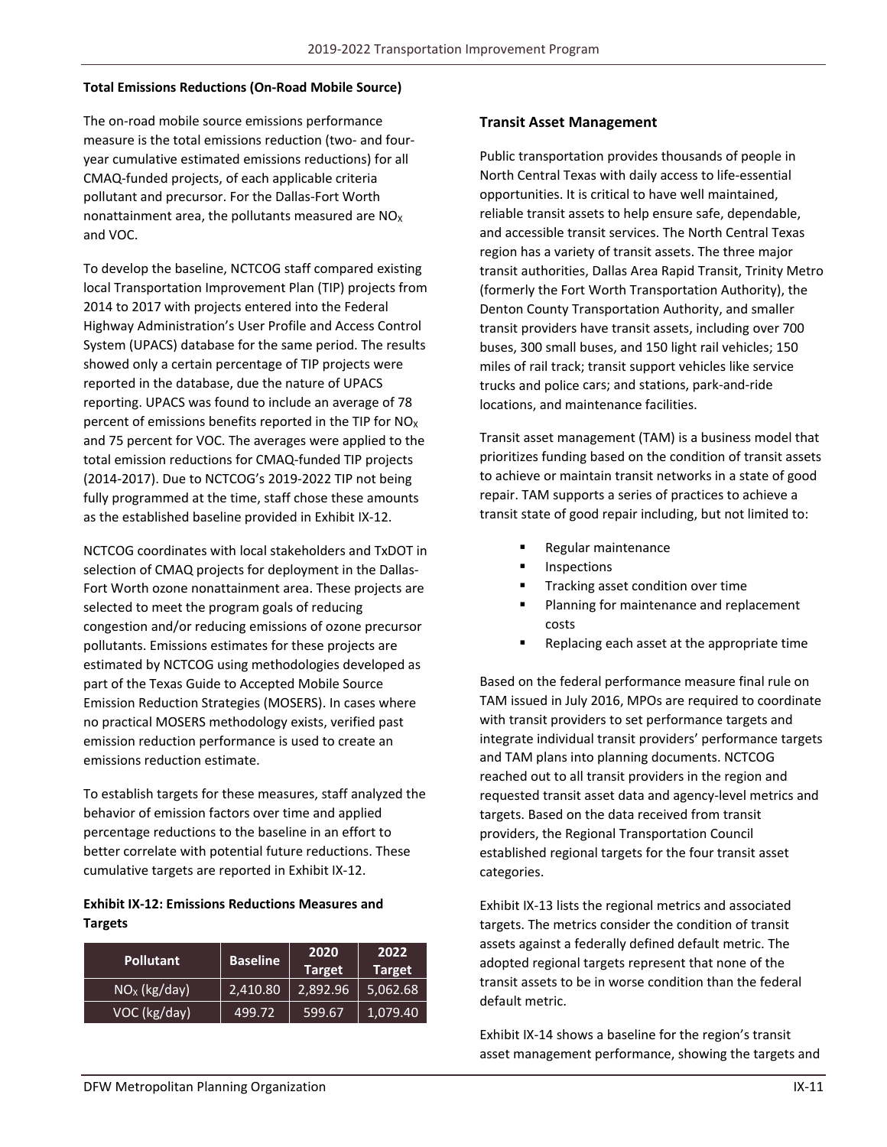#### **Total Emissions Reductions (On‐Road Mobile Source)**

The on‐road mobile source emissions performance measure is the total emissions reduction (two‐ and four‐ year cumulative estimated emissions reductions) for all CMAQ‐funded projects, of each applicable criteria pollutant and precursor. For the Dallas‐Fort Worth nonattainment area, the pollutants measured are  $NO<sub>x</sub>$ and VOC.

To develop the baseline, NCTCOG staff compared existing local Transportation Improvement Plan (TIP) projects from 2014 to 2017 with projects entered into the Federal Highway Administration's User Profile and Access Control System (UPACS) database for the same period. The results showed only a certain percentage of TIP projects were reported in the database, due the nature of UPACS reporting. UPACS was found to include an average of 78 percent of emissions benefits reported in the TIP for  $NO<sub>X</sub>$ and 75 percent for VOC. The averages were applied to the total emission reductions for CMAQ‐funded TIP projects (2014‐2017). Due to NCTCOG's 2019‐2022 TIP not being fully programmed at the time, staff chose these amounts as the established baseline provided in Exhibit IX‐12.

NCTCOG coordinates with local stakeholders and TxDOT in selection of CMAQ projects for deployment in the Dallas-Fort Worth ozone nonattainment area. These projects are selected to meet the program goals of reducing congestion and/or reducing emissions of ozone precursor pollutants. Emissions estimates for these projects are estimated by NCTCOG using methodologies developed as part of the Texas Guide to Accepted Mobile Source Emission Reduction Strategies (MOSERS). In cases where no practical MOSERS methodology exists, verified past emission reduction performance is used to create an emissions reduction estimate.

To establish targets for these measures, staff analyzed the behavior of emission factors over time and applied percentage reductions to the baseline in an effort to better correlate with potential future reductions. These cumulative targets are reported in Exhibit IX‐12.

#### **Exhibit IX‐12: Emissions Reductions Measures and Targets**

| <b>Pollutant</b> | <b>Baseline</b> | 2020<br><b>Target</b> | 2022<br><b>Target</b> |
|------------------|-----------------|-----------------------|-----------------------|
| $NOx$ (kg/day)   | 2,410.80        | 2,892.96              | 5,062.68              |
| VOC (kg/day)     | 499.72          | 599.67                | '1,079.40             |

#### **Transit Asset Management**

Public transportation provides thousands of people in North Central Texas with daily access to life‐essential opportunities. It is critical to have well maintained, reliable transit assets to help ensure safe, dependable, and accessible transit services. The North Central Texas region has a variety of transit assets. The three major transit authorities, Dallas Area Rapid Transit, Trinity Metro (formerly the Fort Worth Transportation Authority), the Denton County Transportation Authority, and smaller transit providers have transit assets, including over 700 buses, 300 small buses, and 150 light rail vehicles; 150 miles of rail track; transit support vehicles like service trucks and police cars; and stations, park‐and‐ride locations, and maintenance facilities.

Transit asset management (TAM) is a business model that prioritizes funding based on the condition of transit assets to achieve or maintain transit networks in a state of good repair. TAM supports a series of practices to achieve a transit state of good repair including, but not limited to:

- **Regular maintenance**
- Inspections
- Tracking asset condition over time
- Planning for maintenance and replacement costs
- Replacing each asset at the appropriate time

Based on the federal performance measure final rule on TAM issued in July 2016, MPOs are required to coordinate with transit providers to set performance targets and integrate individual transit providers' performance targets and TAM plans into planning documents. NCTCOG reached out to all transit providers in the region and requested transit asset data and agency‐level metrics and targets. Based on the data received from transit providers, the Regional Transportation Council established regional targets for the four transit asset categories.

Exhibit IX‐13 lists the regional metrics and associated targets. The metrics consider the condition of transit assets against a federally defined default metric. The adopted regional targets represent that none of the transit assets to be in worse condition than the federal default metric.

Exhibit IX‐14 shows a baseline for the region's transit asset management performance, showing the targets and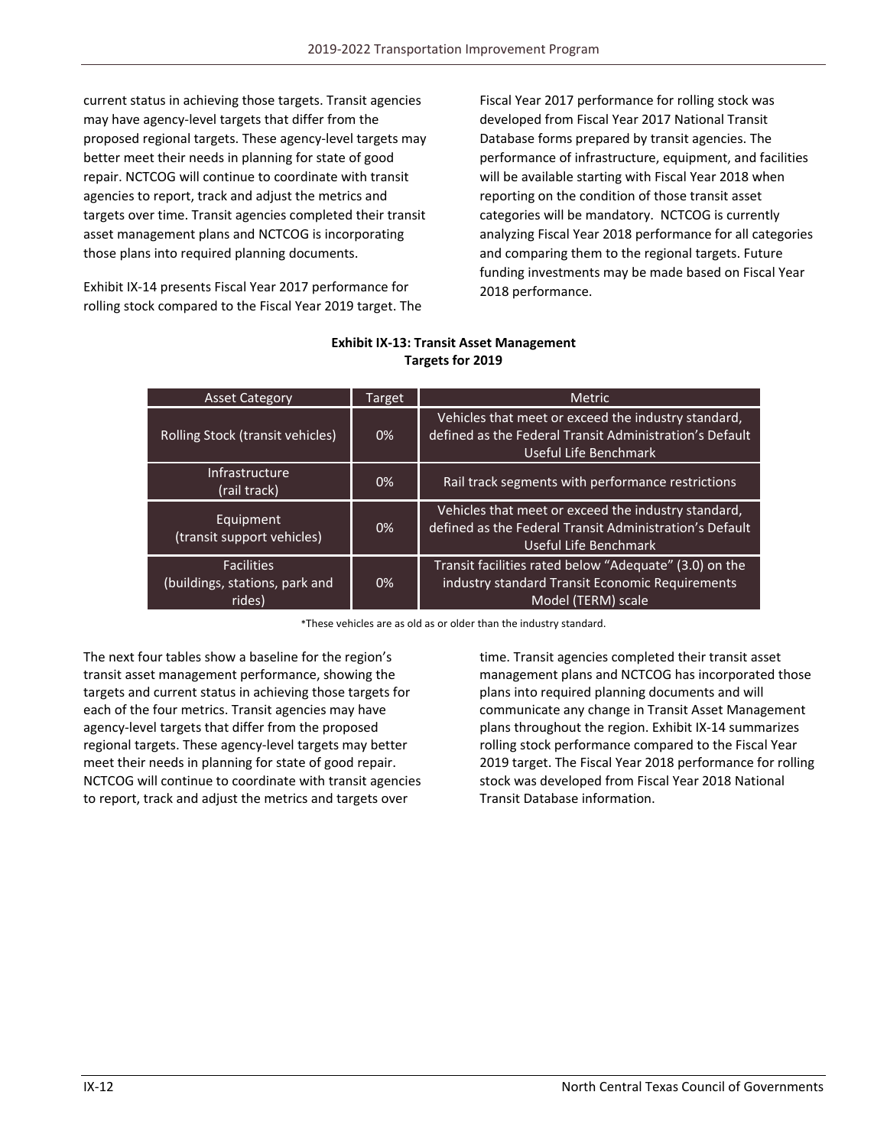current status in achieving those targets. Transit agencies may have agency‐level targets that differ from the proposed regional targets. These agency‐level targets may better meet their needs in planning for state of good repair. NCTCOG will continue to coordinate with transit agencies to report, track and adjust the metrics and targets over time. Transit agencies completed their transit asset management plans and NCTCOG is incorporating those plans into required planning documents.

Exhibit IX‐14 presents Fiscal Year 2017 performance for rolling stock compared to the Fiscal Year 2019 target. The Fiscal Year 2017 performance for rolling stock was developed from Fiscal Year 2017 National Transit Database forms prepared by transit agencies. The performance of infrastructure, equipment, and facilities will be available starting with Fiscal Year 2018 when reporting on the condition of those transit asset categories will be mandatory. NCTCOG is currently analyzing Fiscal Year 2018 performance for all categories and comparing them to the regional targets. Future funding investments may be made based on Fiscal Year 2018 performance.

| <b>Asset Category</b>                                         | Target | <b>Metric</b>                                                                                                                           |
|---------------------------------------------------------------|--------|-----------------------------------------------------------------------------------------------------------------------------------------|
| Rolling Stock (transit vehicles)                              | 0%     | Vehicles that meet or exceed the industry standard,<br>defined as the Federal Transit Administration's Default<br>Useful Life Benchmark |
| Infrastructure<br>(rail track)                                | 0%     | Rail track segments with performance restrictions                                                                                       |
| Equipment<br>(transit support vehicles)                       | $0\%$  | Vehicles that meet or exceed the industry standard,<br>defined as the Federal Transit Administration's Default<br>Useful Life Benchmark |
| <b>Facilities</b><br>(buildings, stations, park and<br>rides) | 0%     | Transit facilities rated below "Adequate" (3.0) on the<br>industry standard Transit Economic Requirements<br>Model (TERM) scale         |

## **Exhibit IX‐13: Transit Asset Management Targets for 2019**

\*These vehicles are as old as or older than the industry standard.

The next four tables show a baseline for the region's transit asset management performance, showing the targets and current status in achieving those targets for each of the four metrics. Transit agencies may have agency‐level targets that differ from the proposed regional targets. These agency‐level targets may better meet their needs in planning for state of good repair. NCTCOG will continue to coordinate with transit agencies to report, track and adjust the metrics and targets over

time. Transit agencies completed their transit asset management plans and NCTCOG has incorporated those plans into required planning documents and will communicate any change in Transit Asset Management plans throughout the region. Exhibit IX‐14 summarizes rolling stock performance compared to the Fiscal Year 2019 target. The Fiscal Year 2018 performance for rolling stock was developed from Fiscal Year 2018 National Transit Database information.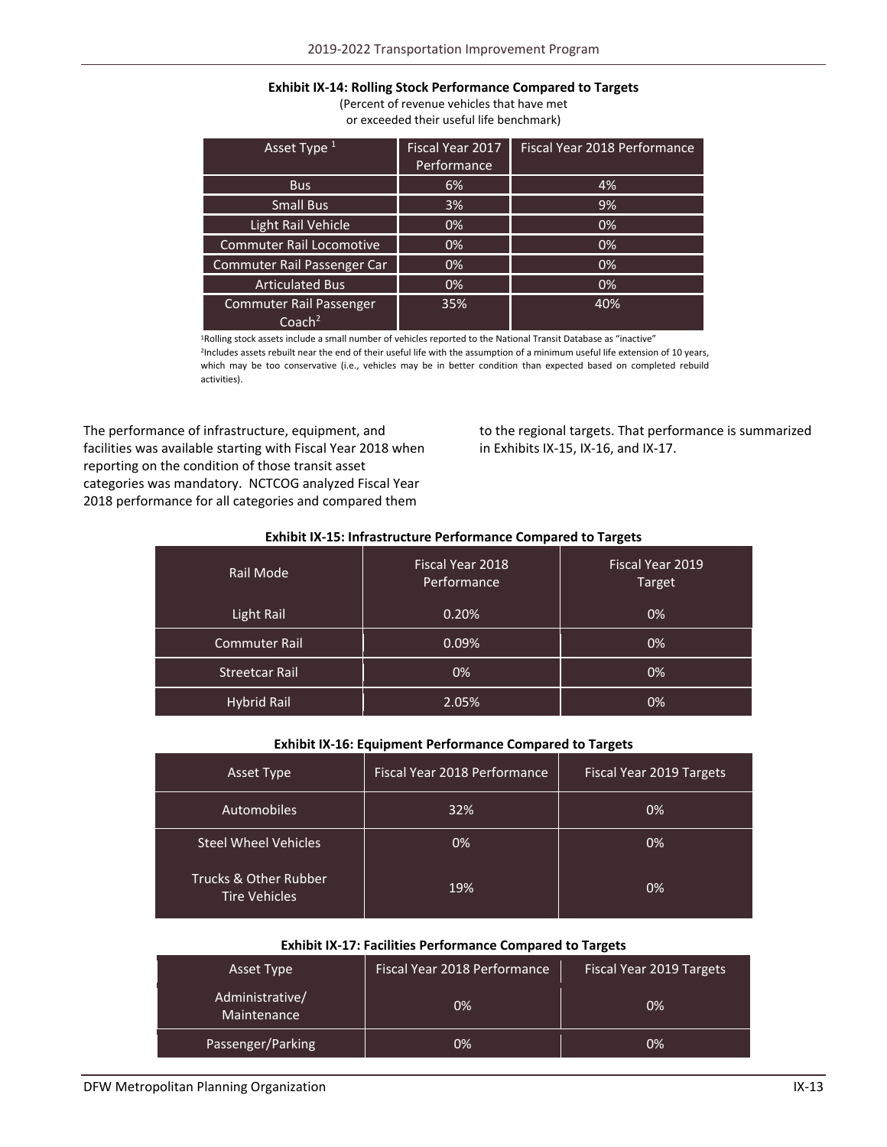#### **Exhibit IX‐14: Rolling Stock Performance Compared to Targets**

(Percent of revenue vehicles that have met or exceeded their useful life benchmark)

| Asset Type <sup>1</sup>                              | Fiscal Year 2017 | Fiscal Year 2018 Performance |
|------------------------------------------------------|------------------|------------------------------|
|                                                      | Performance      |                              |
| <b>Bus</b>                                           | 6%               | 4%                           |
| <b>Small Bus</b>                                     | 3%               | 9%                           |
| Light Rail Vehicle                                   | 0%               | 0%                           |
| <b>Commuter Rail Locomotive</b>                      | 0%               | 0%                           |
| Commuter Rail Passenger Car                          | 0%               | 0%                           |
| <b>Articulated Bus</b>                               | 0%               | 0%                           |
| <b>Commuter Rail Passenger</b><br>Coach <sup>2</sup> | 35%              | 40%                          |

1Rolling stock assets include a small number of vehicles reported to the National Transit Database as "inactive" <sup>2</sup>Includes assets rebuilt near the end of their useful life with the assumption of a minimum useful life extension of 10 years, which may be too conservative (i.e., vehicles may be in better condition than expected based on completed rebuild activities).

The performance of infrastructure, equipment, and facilities was available starting with Fiscal Year 2018 when reporting on the condition of those transit asset categories was mandatory. NCTCOG analyzed Fiscal Year 2018 performance for all categories and compared them

to the regional targets. That performance is summarized in Exhibits IX‐15, IX‐16, and IX‐17.

#### **Exhibit IX‐15: Infrastructure Performance Compared to Targets**

| Rail Mode             | Fiscal Year 2018<br>Performance | Fiscal Year 2019<br>Target |
|-----------------------|---------------------------------|----------------------------|
| Light Rail            | 0.20%                           | 0%                         |
| <b>Commuter Rail</b>  | 0.09%                           | 0%                         |
| <b>Streetcar Rail</b> | 0%                              | 0%                         |
| <b>Hybrid Rail</b>    | 2.05%                           | 0%                         |

#### **Exhibit IX‐16: Equipment Performance Compared to Targets**

| Asset Type                                    | Fiscal Year 2018 Performance | Fiscal Year 2019 Targets |
|-----------------------------------------------|------------------------------|--------------------------|
| Automobiles                                   | 32%                          | 0%                       |
| <b>Steel Wheel Vehicles</b>                   | 0%                           | 0%                       |
| Trucks & Other Rubber<br><b>Tire Vehicles</b> | 19%                          | 0%                       |

#### **Exhibit IX‐17: Facilities Performance Compared to Targets**

| Asset Type                     | Fiscal Year 2018 Performance | Fiscal Year 2019 Targets |
|--------------------------------|------------------------------|--------------------------|
| Administrative/<br>Maintenance | 0%                           | 0%                       |
| Passenger/Parking              | 0%                           | 0%                       |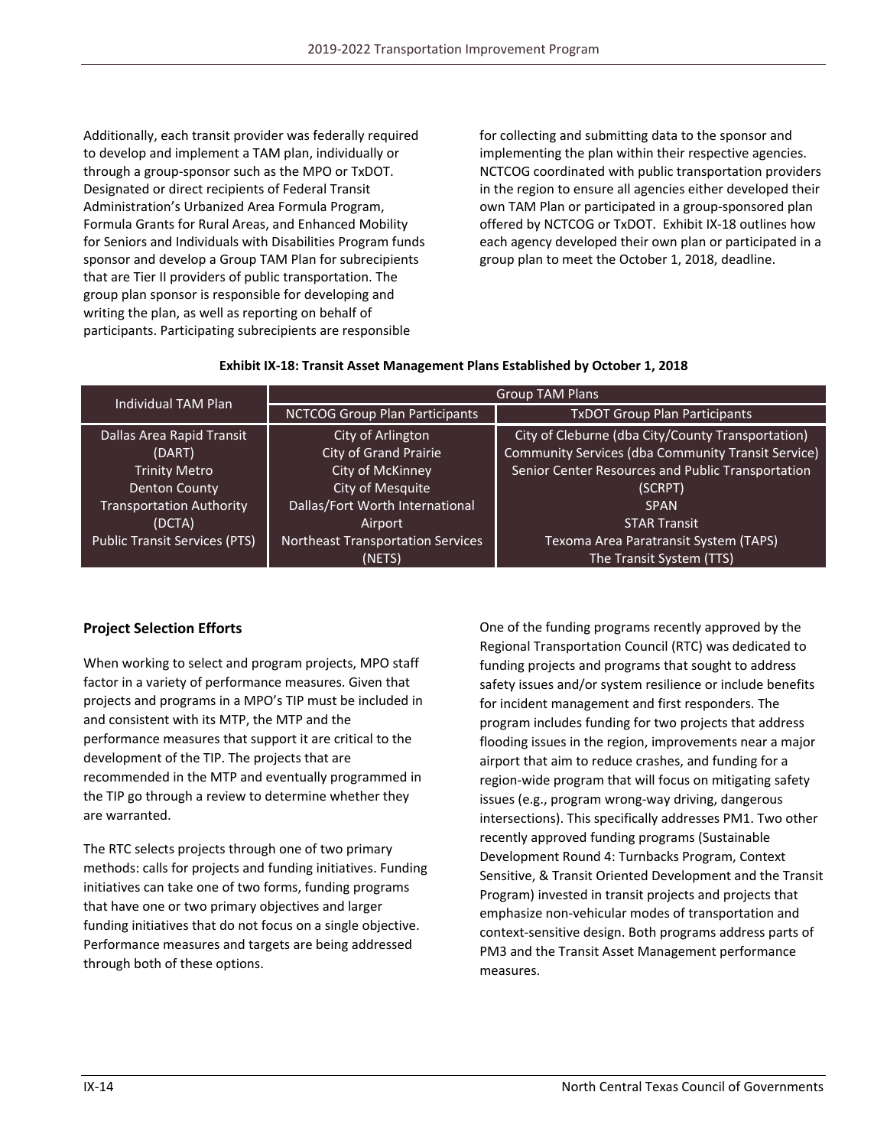Additionally, each transit provider was federally required to develop and implement a TAM plan, individually or through a group‐sponsor such as the MPO or TxDOT. Designated or direct recipients of Federal Transit Administration's Urbanized Area Formula Program, Formula Grants for Rural Areas, and Enhanced Mobility for Seniors and Individuals with Disabilities Program funds sponsor and develop a Group TAM Plan for subrecipients that are Tier II providers of public transportation. The group plan sponsor is responsible for developing and writing the plan, as well as reporting on behalf of participants. Participating subrecipients are responsible

for collecting and submitting data to the sponsor and implementing the plan within their respective agencies. NCTCOG coordinated with public transportation providers in the region to ensure all agencies either developed their own TAM Plan or participated in a group‐sponsored plan offered by NCTCOG or TxDOT. Exhibit IX‐18 outlines how each agency developed their own plan or participated in a group plan to meet the October 1, 2018, deadline.

| <b>Individual TAM Plan</b>           | <b>Group TAM Plans</b>                   |                                                    |  |
|--------------------------------------|------------------------------------------|----------------------------------------------------|--|
|                                      | <b>NCTCOG Group Plan Participants</b>    | <b>TxDOT Group Plan Participants</b>               |  |
| Dallas Area Rapid Transit            | City of Arlington                        | City of Cleburne (dba City/County Transportation)  |  |
| (DART)                               | <b>City of Grand Prairie</b>             | Community Services (dba Community Transit Service) |  |
| <b>Trinity Metro</b>                 | City of McKinney                         | Senior Center Resources and Public Transportation  |  |
| <b>Denton County</b>                 | City of Mesquite                         | (SCRPT)                                            |  |
| <b>Transportation Authority</b>      | Dallas/Fort Worth International          | <b>SPAN</b>                                        |  |
| (DCTA)                               | Airport                                  | <b>STAR Transit</b>                                |  |
| <b>Public Transit Services (PTS)</b> | <b>Northeast Transportation Services</b> | Texoma Area Paratransit System (TAPS)              |  |
|                                      | (NETS)                                   | The Transit System (TTS)                           |  |

#### **Exhibit IX‐18: Transit Asset Management Plans Established by October 1, 2018**

## **Project Selection Efforts**

When working to select and program projects, MPO staff factor in a variety of performance measures. Given that projects and programs in a MPO's TIP must be included in and consistent with its MTP, the MTP and the performance measures that support it are critical to the development of the TIP. The projects that are recommended in the MTP and eventually programmed in the TIP go through a review to determine whether they are warranted.

The RTC selects projects through one of two primary methods: calls for projects and funding initiatives. Funding initiatives can take one of two forms, funding programs that have one or two primary objectives and larger funding initiatives that do not focus on a single objective. Performance measures and targets are being addressed through both of these options.

One of the funding programs recently approved by the Regional Transportation Council (RTC) was dedicated to funding projects and programs that sought to address safety issues and/or system resilience or include benefits for incident management and first responders. The program includes funding for two projects that address flooding issues in the region, improvements near a major airport that aim to reduce crashes, and funding for a region‐wide program that will focus on mitigating safety issues (e.g., program wrong‐way driving, dangerous intersections). This specifically addresses PM1. Two other recently approved funding programs (Sustainable Development Round 4: Turnbacks Program, Context Sensitive, & Transit Oriented Development and the Transit Program) invested in transit projects and projects that emphasize non‐vehicular modes of transportation and context‐sensitive design. Both programs address parts of PM3 and the Transit Asset Management performance measures.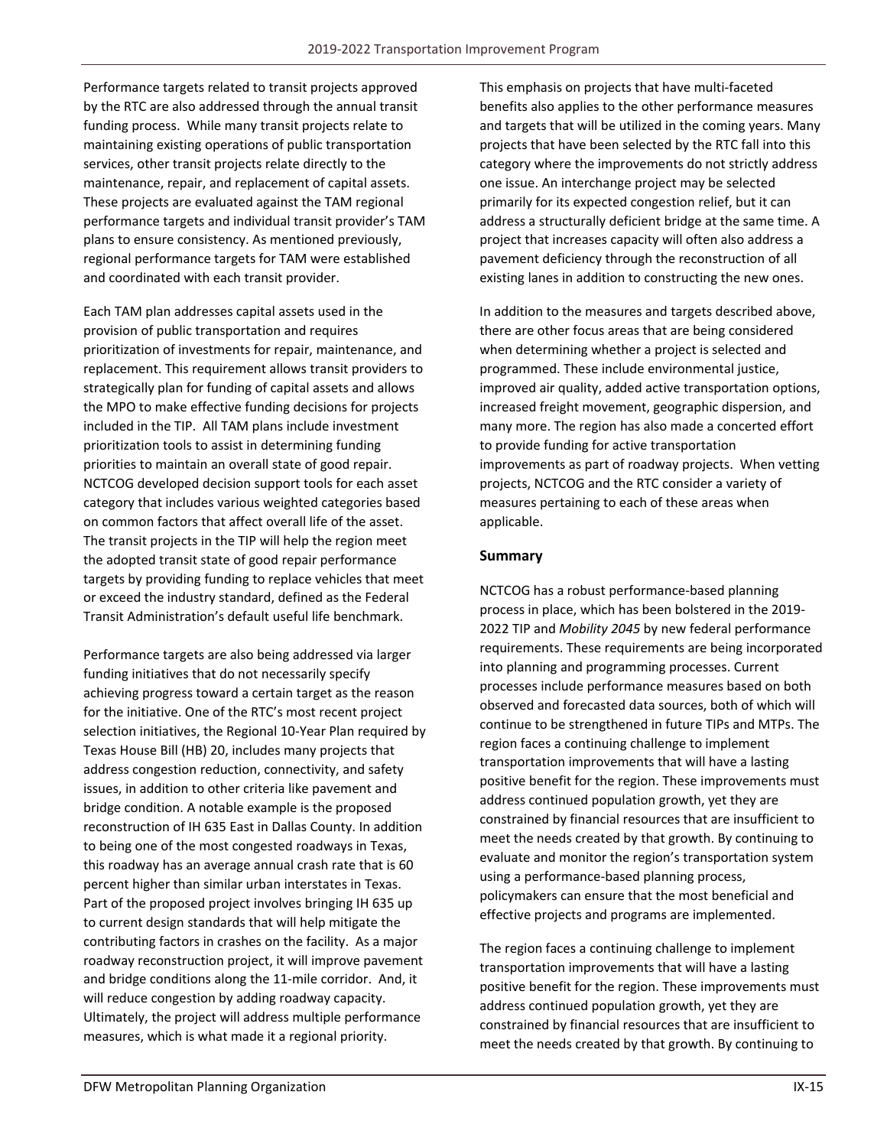Performance targets related to transit projects approved by the RTC are also addressed through the annual transit funding process. While many transit projects relate to maintaining existing operations of public transportation services, other transit projects relate directly to the maintenance, repair, and replacement of capital assets. These projects are evaluated against the TAM regional performance targets and individual transit provider's TAM plans to ensure consistency. As mentioned previously, regional performance targets for TAM were established and coordinated with each transit provider.

Each TAM plan addresses capital assets used in the provision of public transportation and requires prioritization of investments for repair, maintenance, and replacement. This requirement allows transit providers to strategically plan for funding of capital assets and allows the MPO to make effective funding decisions for projects included in the TIP. All TAM plans include investment prioritization tools to assist in determining funding priorities to maintain an overall state of good repair. NCTCOG developed decision support tools for each asset category that includes various weighted categories based on common factors that affect overall life of the asset. The transit projects in the TIP will help the region meet the adopted transit state of good repair performance targets by providing funding to replace vehicles that meet or exceed the industry standard, defined as the Federal Transit Administration's default useful life benchmark.

Performance targets are also being addressed via larger funding initiatives that do not necessarily specify achieving progress toward a certain target as the reason for the initiative. One of the RTC's most recent project selection initiatives, the Regional 10‐Year Plan required by Texas House Bill (HB) 20, includes many projects that address congestion reduction, connectivity, and safety issues, in addition to other criteria like pavement and bridge condition. A notable example is the proposed reconstruction of IH 635 East in Dallas County. In addition to being one of the most congested roadways in Texas, this roadway has an average annual crash rate that is 60 percent higher than similar urban interstates in Texas. Part of the proposed project involves bringing IH 635 up to current design standards that will help mitigate the contributing factors in crashes on the facility. As a major roadway reconstruction project, it will improve pavement and bridge conditions along the 11‐mile corridor. And, it will reduce congestion by adding roadway capacity. Ultimately, the project will address multiple performance measures, which is what made it a regional priority.

This emphasis on projects that have multi‐faceted benefits also applies to the other performance measures and targets that will be utilized in the coming years. Many projects that have been selected by the RTC fall into this category where the improvements do not strictly address one issue. An interchange project may be selected primarily for its expected congestion relief, but it can address a structurally deficient bridge at the same time. A project that increases capacity will often also address a pavement deficiency through the reconstruction of all existing lanes in addition to constructing the new ones.

In addition to the measures and targets described above, there are other focus areas that are being considered when determining whether a project is selected and programmed. These include environmental justice, improved air quality, added active transportation options, increased freight movement, geographic dispersion, and many more. The region has also made a concerted effort to provide funding for active transportation improvements as part of roadway projects. When vetting projects, NCTCOG and the RTC consider a variety of measures pertaining to each of these areas when applicable.

## **Summary**

NCTCOG has a robust performance‐based planning process in place, which has been bolstered in the 2019‐ 2022 TIP and *Mobility 2045* by new federal performance requirements. These requirements are being incorporated into planning and programming processes. Current processes include performance measures based on both observed and forecasted data sources, both of which will continue to be strengthened in future TIPs and MTPs. The region faces a continuing challenge to implement transportation improvements that will have a lasting positive benefit for the region. These improvements must address continued population growth, yet they are constrained by financial resources that are insufficient to meet the needs created by that growth. By continuing to evaluate and monitor the region's transportation system using a performance‐based planning process, policymakers can ensure that the most beneficial and effective projects and programs are implemented.

The region faces a continuing challenge to implement transportation improvements that will have a lasting positive benefit for the region. These improvements must address continued population growth, yet they are constrained by financial resources that are insufficient to meet the needs created by that growth. By continuing to